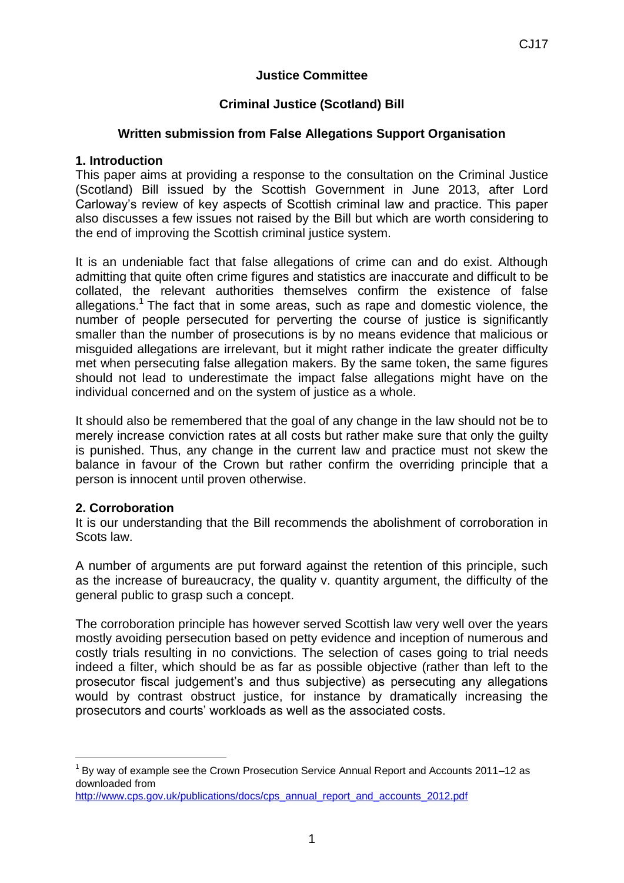# **Justice Committee**

# **Criminal Justice (Scotland) Bill**

# **Written submission from False Allegations Support Organisation**

### **1. Introduction**

This paper aims at providing a response to the consultation on the Criminal Justice (Scotland) Bill issued by the Scottish Government in June 2013, after Lord Carloway's review of key aspects of Scottish criminal law and practice. This paper also discusses a few issues not raised by the Bill but which are worth considering to the end of improving the Scottish criminal justice system.

It is an undeniable fact that false allegations of crime can and do exist. Although admitting that quite often crime figures and statistics are inaccurate and difficult to be collated, the relevant authorities themselves confirm the existence of false allegations.<sup>1</sup> The fact that in some areas, such as rape and domestic violence, the number of people persecuted for perverting the course of justice is significantly smaller than the number of prosecutions is by no means evidence that malicious or misguided allegations are irrelevant, but it might rather indicate the greater difficulty met when persecuting false allegation makers. By the same token, the same figures should not lead to underestimate the impact false allegations might have on the individual concerned and on the system of justice as a whole.

It should also be remembered that the goal of any change in the law should not be to merely increase conviction rates at all costs but rather make sure that only the guilty is punished. Thus, any change in the current law and practice must not skew the balance in favour of the Crown but rather confirm the overriding principle that a person is innocent until proven otherwise.

# **2. Corroboration**

**.** 

It is our understanding that the Bill recommends the abolishment of corroboration in Scots law.

A number of arguments are put forward against the retention of this principle, such as the increase of bureaucracy, the quality v. quantity argument, the difficulty of the general public to grasp such a concept.

The corroboration principle has however served Scottish law very well over the years mostly avoiding persecution based on petty evidence and inception of numerous and costly trials resulting in no convictions. The selection of cases going to trial needs indeed a filter, which should be as far as possible objective (rather than left to the prosecutor fiscal judgement's and thus subjective) as persecuting any allegations would by contrast obstruct justice, for instance by dramatically increasing the prosecutors and courts' workloads as well as the associated costs.

 $1$  By way of example see the Crown Prosecution Service Annual Report and Accounts 2011–12 as downloaded from

[http://www.cps.gov.uk/publications/docs/cps\\_annual\\_report\\_and\\_accounts\\_2012.pdf](http://www.cps.gov.uk/publications/docs/cps_annual_report_and_accounts_2012.pdf)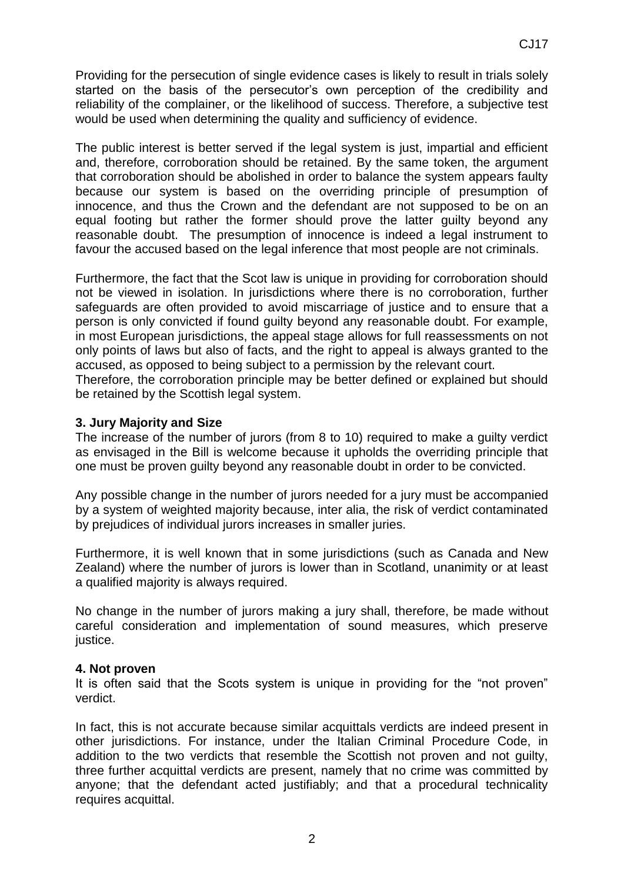Providing for the persecution of single evidence cases is likely to result in trials solely started on the basis of the persecutor's own perception of the credibility and reliability of the complainer, or the likelihood of success. Therefore, a subjective test would be used when determining the quality and sufficiency of evidence.

The public interest is better served if the legal system is just, impartial and efficient and, therefore, corroboration should be retained. By the same token, the argument that corroboration should be abolished in order to balance the system appears faulty because our system is based on the overriding principle of presumption of innocence, and thus the Crown and the defendant are not supposed to be on an equal footing but rather the former should prove the latter guilty beyond any reasonable doubt. The presumption of innocence is indeed a legal instrument to favour the accused based on the legal inference that most people are not criminals.

Furthermore, the fact that the Scot law is unique in providing for corroboration should not be viewed in isolation. In jurisdictions where there is no corroboration, further safeguards are often provided to avoid miscarriage of justice and to ensure that a person is only convicted if found guilty beyond any reasonable doubt. For example, in most European jurisdictions, the appeal stage allows for full reassessments on not only points of laws but also of facts, and the right to appeal is always granted to the accused, as opposed to being subject to a permission by the relevant court.

Therefore, the corroboration principle may be better defined or explained but should be retained by the Scottish legal system.

## **3. Jury Majority and Size**

The increase of the number of jurors (from 8 to 10) required to make a guilty verdict as envisaged in the Bill is welcome because it upholds the overriding principle that one must be proven guilty beyond any reasonable doubt in order to be convicted.

Any possible change in the number of jurors needed for a jury must be accompanied by a system of weighted majority because, inter alia, the risk of verdict contaminated by prejudices of individual jurors increases in smaller juries.

Furthermore, it is well known that in some jurisdictions (such as Canada and New Zealand) where the number of jurors is lower than in Scotland, unanimity or at least a qualified majority is always required.

No change in the number of jurors making a jury shall, therefore, be made without careful consideration and implementation of sound measures, which preserve justice.

### **4. Not proven**

It is often said that the Scots system is unique in providing for the "not proven" verdict.

In fact, this is not accurate because similar acquittals verdicts are indeed present in other jurisdictions. For instance, under the Italian Criminal Procedure Code, in addition to the two verdicts that resemble the Scottish not proven and not guilty, three further acquittal verdicts are present, namely that no crime was committed by anyone; that the defendant acted justifiably; and that a procedural technicality requires acquittal.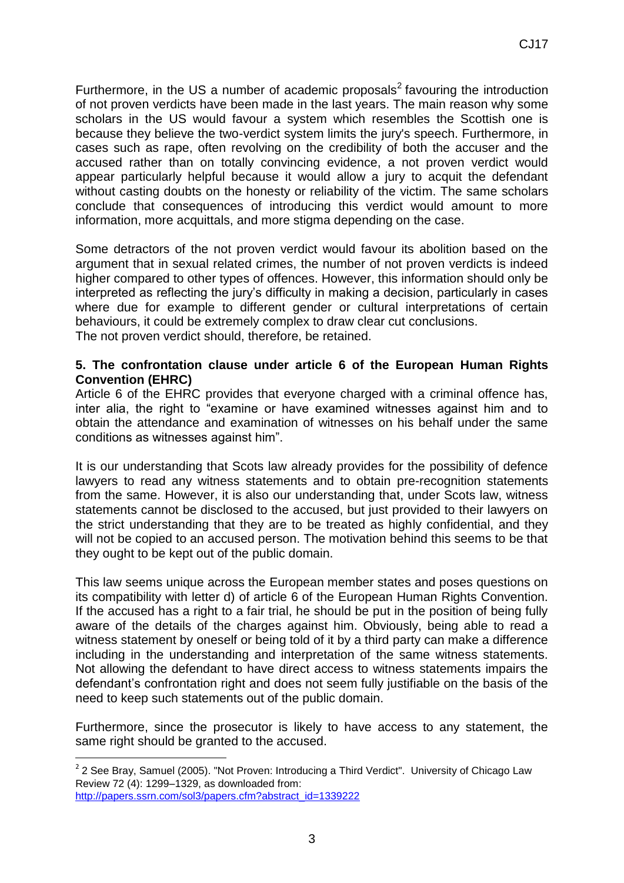Furthermore, in the US a number of academic proposals<sup>2</sup> favouring the introduction of not proven verdicts have been made in the last years. The main reason why some scholars in the US would favour a system which resembles the Scottish one is because they believe the two-verdict system limits the jury's speech. Furthermore, in cases such as rape, often revolving on the credibility of both the accuser and the accused rather than on totally convincing evidence, a not proven verdict would appear particularly helpful because it would allow a jury to acquit the defendant without casting doubts on the honesty or reliability of the victim. The same scholars conclude that consequences of introducing this verdict would amount to more information, more acquittals, and more stigma depending on the case.

Some detractors of the not proven verdict would favour its abolition based on the argument that in sexual related crimes, the number of not proven verdicts is indeed higher compared to other types of offences. However, this information should only be interpreted as reflecting the jury's difficulty in making a decision, particularly in cases where due for example to different gender or cultural interpretations of certain behaviours, it could be extremely complex to draw clear cut conclusions. The not proven verdict should, therefore, be retained.

### **5. The confrontation clause under article 6 of the European Human Rights Convention (EHRC)**

Article 6 of the EHRC provides that everyone charged with a criminal offence has, inter alia, the right to "examine or have examined witnesses against him and to obtain the attendance and examination of witnesses on his behalf under the same conditions as witnesses against him".

It is our understanding that Scots law already provides for the possibility of defence lawyers to read any witness statements and to obtain pre-recognition statements from the same. However, it is also our understanding that, under Scots law, witness statements cannot be disclosed to the accused, but just provided to their lawyers on the strict understanding that they are to be treated as highly confidential, and they will not be copied to an accused person. The motivation behind this seems to be that they ought to be kept out of the public domain.

This law seems unique across the European member states and poses questions on its compatibility with letter d) of article 6 of the European Human Rights Convention. If the accused has a right to a fair trial, he should be put in the position of being fully aware of the details of the charges against him. Obviously, being able to read a witness statement by oneself or being told of it by a third party can make a difference including in the understanding and interpretation of the same witness statements. Not allowing the defendant to have direct access to witness statements impairs the defendant's confrontation right and does not seem fully justifiable on the basis of the need to keep such statements out of the public domain.

Furthermore, since the prosecutor is likely to have access to any statement, the same right should be granted to the accused.

**.** 

 $2$  2 See Bray, Samuel (2005). "Not Proven: Introducing a Third Verdict". University of Chicago Law Review 72 (4): 1299–1329, as downloaded from: [http://papers.ssrn.com/sol3/papers.cfm?abstract\\_id=1339222](http://papers.ssrn.com/sol3/papers.cfm?abstract_id=1339222)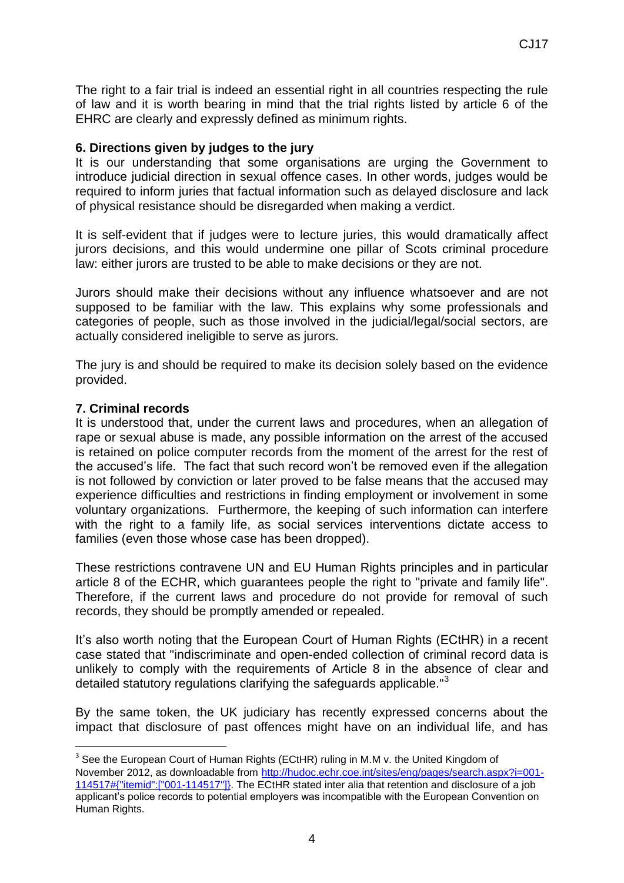The right to a fair trial is indeed an essential right in all countries respecting the rule of law and it is worth bearing in mind that the trial rights listed by article 6 of the EHRC are clearly and expressly defined as minimum rights.

#### **6. Directions given by judges to the jury**

It is our understanding that some organisations are urging the Government to introduce judicial direction in sexual offence cases. In other words, judges would be required to inform juries that factual information such as delayed disclosure and lack of physical resistance should be disregarded when making a verdict.

It is self-evident that if judges were to lecture juries, this would dramatically affect jurors decisions, and this would undermine one pillar of Scots criminal procedure law: either jurors are trusted to be able to make decisions or they are not.

Jurors should make their decisions without any influence whatsoever and are not supposed to be familiar with the law. This explains why some professionals and categories of people, such as those involved in the judicial/legal/social sectors, are actually considered ineligible to serve as jurors.

The jury is and should be required to make its decision solely based on the evidence provided.

#### **7. Criminal records**

**.** 

It is understood that, under the current laws and procedures, when an allegation of rape or sexual abuse is made, any possible information on the arrest of the accused is retained on police computer records from the moment of the arrest for the rest of the accused's life. The fact that such record won't be removed even if the allegation is not followed by conviction or later proved to be false means that the accused may experience difficulties and restrictions in finding employment or involvement in some voluntary organizations. Furthermore, the keeping of such information can interfere with the right to a family life, as social services interventions dictate access to families (even those whose case has been dropped).

These restrictions contravene UN and EU Human Rights principles and in particular article 8 of the ECHR, which guarantees people the right to "private and family life". Therefore, if the current laws and procedure do not provide for removal of such records, they should be promptly amended or repealed.

It's also worth noting that the European Court of Human Rights (ECtHR) in a recent case stated that "indiscriminate and open-ended collection of criminal record data is unlikely to comply with the requirements of Article 8 in the absence of clear and detailed statutory regulations clarifying the safeguards applicable."<sup>3</sup>

By the same token, the UK judiciary has recently expressed concerns about the impact that disclosure of past offences might have on an individual life, and has

<sup>&</sup>lt;sup>3</sup> See the European Court of Human Rights (ECtHR) ruling in M.M v. the United Kingdom of November 2012, as downloadable from [http://hudoc.echr.coe.int/sites/eng/pages/search.aspx?i=001-](http://hudoc.echr.coe.int/sites/eng/pages/search.aspx?i=001-114517#{"itemid":["001-114517"]}) [114517#{"itemid":\["001-114517"\]}.](http://hudoc.echr.coe.int/sites/eng/pages/search.aspx?i=001-114517#{"itemid":["001-114517"]}) The ECtHR stated inter alia that retention and disclosure of a job applicant's police records to potential employers was incompatible with the European Convention on Human Rights.